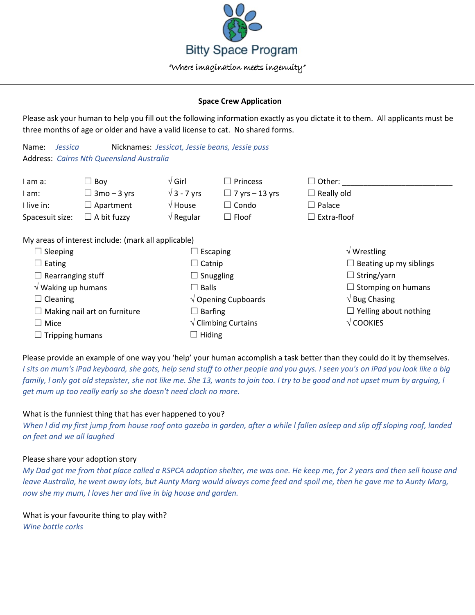

## **Space Crew Application**

Please ask your human to help you fill out the following information exactly as you dictate it to them. All applicants must be three months of age or older and have a valid license to cat. No shared forms.

| Name: <i>Jessica</i> |                                                 | Nicknames: Jessicat, Jessie beans, Jessie puss |  |
|----------------------|-------------------------------------------------|------------------------------------------------|--|
|                      | <b>Address: Cairns Nth Queensland Australia</b> |                                                |  |

|                                                     | l am a:         | ∟ Bov              | $\sqrt{G}$ irl     | $\square$ Princess    | $\Box$ Other:      |
|-----------------------------------------------------|-----------------|--------------------|--------------------|-----------------------|--------------------|
|                                                     | l am:           | $\Box$ 3mo – 3 yrs | $\sqrt{3}$ - 7 vrs | $\Box$ 7 yrs – 13 yrs | $\Box$ Really old  |
|                                                     | I live in:      | $\Box$ Apartment   | $\sqrt{2}$ House   | $\Box$ Condo          | $\Box$ Palace      |
|                                                     | Spacesuit size: | $\Box$ A bit fuzzy | $\sqrt{ }$ Regular | $\Box$ Floof          | $\Box$ Extra-floof |
|                                                     |                 |                    |                    |                       |                    |
| My areas of interest include: (mark all annlicable) |                 |                    |                    |                       |                    |

√ Wrestling

 $\Box$  String/yarn

√ Bug Chasing

√ COOKIES

 $\Box$  Beating up my siblings

 $\Box$  Stomping on humans

 $\Box$  Yelling about nothing

My areas of interest include: (mark all applicable)

| $\Box$ Sleeping                     | $\Box$ Escaping                        |
|-------------------------------------|----------------------------------------|
| $\Box$ Eating                       | $\Box$ Catnip                          |
| $\Box$ Rearranging stuff            | $\Box$ Snuggling                       |
| $\sqrt{}$ Waking up humans          | $\square$ Balls                        |
| $\Box$ Cleaning                     | $\sqrt{}$ Opening Cupboards            |
| $\Box$ Making nail art on furniture | $\Box$ Barfing                         |
| $\Box$ Mice                         | $\sqrt{\frac{1}{1}}$ Climbing Curtains |
| $\Box$ Tripping humans              | $\Box$ Hiding                          |
|                                     |                                        |

Please provide an example of one way you 'help' your human accomplish a task better than they could do it by themselves. *I sits on mum's iPad keyboard, she gots, help send stuff to other people and you guys. I seen you's on iPad you look like a big family, l only got old stepsister, she not like me. She 13, wants to join too. I try to be good and not upset mum by arguing, l get mum up too really early so she doesn't need clock no more.*

# What is the funniest thing that has ever happened to you?

*When l did my first jump from house roof onto gazebo in garden, after a while l fallen asleep and slip off sloping roof, landed on feet and we all laughed*

# Please share your adoption story

*My Dad got me from that place called a RSPCA adoption shelter, me was one. He keep me, for 2 years and then sell house and leave Australia, he went away lots, but Aunty Marg would always come feed and spoil me, then he gave me to Aunty Marg, now she my mum, l loves her and live in big house and garden.*

What is your favourite thing to play with? *Wine bottle corks*